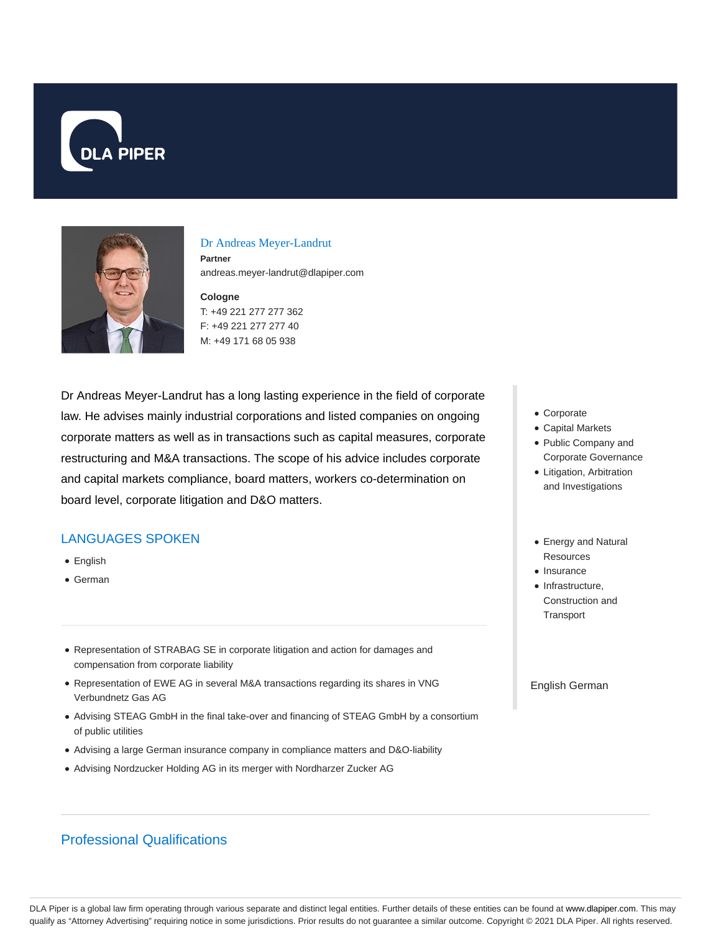



# Dr Andreas Meyer-Landrut

**Partner** andreas.meyer-landrut@dlapiper.com

**Cologne** T: +49 221 277 277 362 F: +49 221 277 277 40 M: +49 171 68 05 938

Dr Andreas Meyer-Landrut has a long lasting experience in the field of corporate law. He advises mainly industrial corporations and listed companies on ongoing corporate matters as well as in transactions such as capital measures, corporate restructuring and M&A transactions. The scope of his advice includes corporate and capital markets compliance, board matters, workers co-determination on board level, corporate litigation and D&O matters.

# LANGUAGES SPOKEN

- English
- German
- Representation of STRABAG SE in corporate litigation and action for damages and compensation from corporate liability
- Representation of EWE AG in several M&A transactions regarding its shares in VNG Verbundnetz Gas AG
- Advising STEAG GmbH in the final take-over and financing of STEAG GmbH by a consortium of public utilities
- Advising a large German insurance company in compliance matters and D&O-liability
- Advising Nordzucker Holding AG in its merger with Nordharzer Zucker AG
- Corporate
- Capital Markets
- Public Company and Corporate Governance
- Litigation, Arbitration and Investigations
- Energy and Natural **Resources**
- Insurance
- Infrastructure. Construction and **Transport**

English German

# Professional Qualifications

DLA Piper is a global law firm operating through various separate and distinct legal entities. Further details of these entities can be found at www.dlapiper.com. This may qualify as "Attorney Advertising" requiring notice in some jurisdictions. Prior results do not guarantee a similar outcome. Copyright © 2021 DLA Piper. All rights reserved.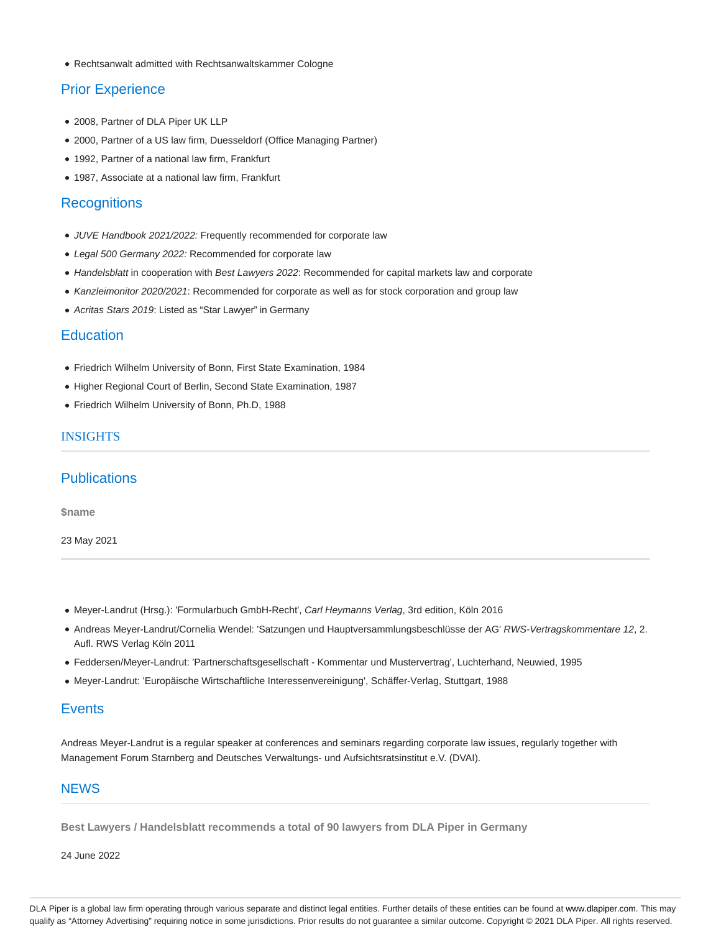Rechtsanwalt admitted with Rechtsanwaltskammer Cologne

## Prior Experience

- 2008, Partner of DLA Piper UK LLP
- 2000, Partner of a US law firm, Duesseldorf (Office Managing Partner)
- 1992, Partner of a national law firm, Frankfurt
- 1987, Associate at a national law firm, Frankfurt

#### **Recognitions**

- JUVE Handbook 2021/2022: Frequently recommended for corporate law
- Legal 500 Germany 2022: Recommended for corporate law
- Handelsblatt in cooperation with Best Lawyers 2022: Recommended for capital markets law and corporate
- Kanzleimonitor 2020/2021: Recommended for corporate as well as for stock corporation and group law
- Acritas Stars 2019: Listed as "Star Lawyer" in Germany

### **Education**

- Friedrich Wilhelm University of Bonn, First State Examination, 1984
- Higher Regional Court of Berlin, Second State Examination, 1987
- Friedrich Wilhelm University of Bonn, Ph.D, 1988

## INSIGHTS

### **Publications**

**\$name**

23 May 2021

- Meyer-Landrut (Hrsg.): 'Formularbuch GmbH-Recht', Carl Heymanns Verlag, 3rd edition, Köln 2016
- Andreas Meyer-Landrut/Cornelia Wendel: 'Satzungen und Hauptversammlungsbeschlüsse der AG' RWS-Vertragskommentare 12, 2. Aufl. RWS Verlag Köln 2011
- Feddersen/Meyer-Landrut: 'Partnerschaftsgesellschaft Kommentar und Mustervertrag', Luchterhand, Neuwied, 1995
- Meyer-Landrut: 'Europäische Wirtschaftliche Interessenvereinigung', Schäffer-Verlag, Stuttgart, 1988

#### **Events**

Andreas Meyer-Landrut is a regular speaker at conferences and seminars regarding corporate law issues, regularly together with Management Forum Starnberg and Deutsches Verwaltungs- und Aufsichtsratsinstitut e.V. (DVAI).

#### **NEWS**

**Best Lawyers / Handelsblatt recommends a total of 90 lawyers from DLA Piper in Germany**

24 June 2022

DLA Piper is a global law firm operating through various separate and distinct legal entities. Further details of these entities can be found at www.dlapiper.com. This may qualify as "Attorney Advertising" requiring notice in some jurisdictions. Prior results do not guarantee a similar outcome. Copyright © 2021 DLA Piper. All rights reserved.